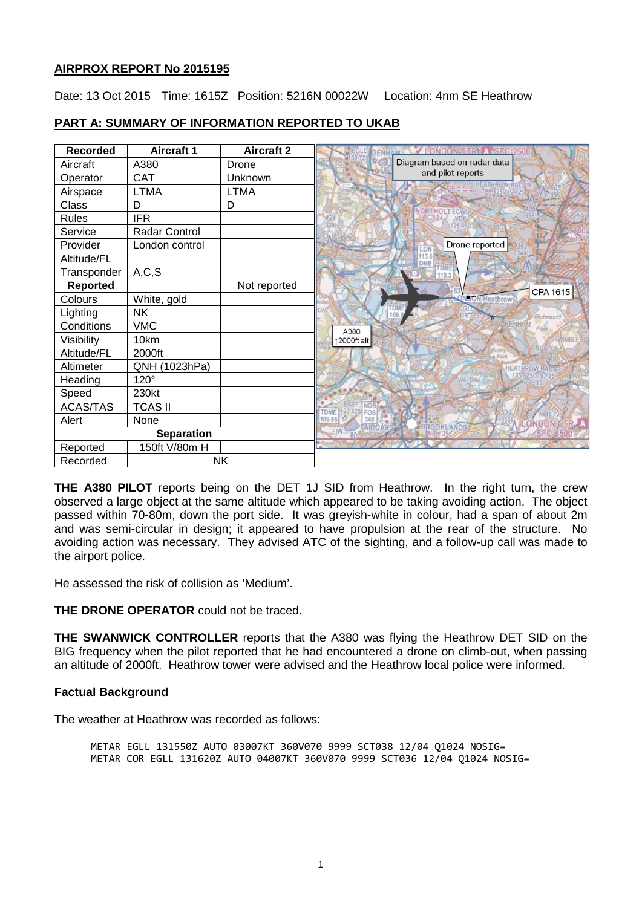# **AIRPROX REPORT No 2015195**

Date: 13 Oct 2015 Time: 1615Z Position: 5216N 00022W Location: 4nm SE Heathrow

| <b>Recorded</b>   | <b>Aircraft 1</b> | <b>Aircraft 2</b> |                                                  |
|-------------------|-------------------|-------------------|--------------------------------------------------|
| Aircraft          | A380              | Drone             | Diagram based on radar data                      |
| Operator          | <b>CAT</b>        | <b>Unknown</b>    | and pilot reports                                |
| Airspace          | <b>LTMA</b>       | <b>LTMA</b>       |                                                  |
| Class             | D                 | D                 | <b>NORTHOLTEGW</b>                               |
| <b>Rules</b>      | <b>IFR</b>        |                   |                                                  |
| Service           | Radar Control     |                   | 26:450                                           |
| Provider          | London control    |                   | Drone reported<br>ON                             |
| Altitude/FL       |                   |                   | <b>DMF</b>                                       |
| Transponder       | A, C, S           |                   |                                                  |
| <b>Reported</b>   |                   | Not reported      | CPA 1615                                         |
| Colours           | White, gold       |                   | DON/Heathrow                                     |
| Lighting          | <b>NK</b>         |                   | Richmond                                         |
| Conditions        | <b>VMC</b>        |                   | Park<br>A380                                     |
| Visibility        | 10km              |                   | <b>IMBLE</b><br>12000ft alt                      |
| Altitude/FL       | 2000ft            |                   |                                                  |
| Altimeter         | QNH (1023hPa)     |                   | <b>HEATHROW RA</b>                               |
| Heading           | $120^\circ$       |                   | WALTON D                                         |
| Speed             | 230kt             |                   |                                                  |
| <b>ACAS/TAS</b>   | <b>TCAS II</b>    |                   | <b>TDME</b>                                      |
| Alert             | None              |                   | 348<br>109.85                                    |
| <b>Separation</b> |                   |                   | ONDON CT<br>FAIROAKS<br>BROOKLANDS<br><b>FIW</b> |
| Reported          | 150ft V/80m H     |                   |                                                  |
| Recorded          | <b>NK</b>         |                   |                                                  |

# **PART A: SUMMARY OF INFORMATION REPORTED TO UKAB**

**THE A380 PILOT** reports being on the DET 1J SID from Heathrow. In the right turn, the crew observed a large object at the same altitude which appeared to be taking avoiding action. The object passed within 70-80m, down the port side. It was greyish-white in colour, had a span of about 2m and was semi-circular in design; it appeared to have propulsion at the rear of the structure. No avoiding action was necessary. They advised ATC of the sighting, and a follow-up call was made to the airport police.

He assessed the risk of collision as 'Medium'.

**THE DRONE OPERATOR** could not be traced.

**THE SWANWICK CONTROLLER** reports that the A380 was flying the Heathrow DET SID on the BIG frequency when the pilot reported that he had encountered a drone on climb-out, when passing an altitude of 2000ft. Heathrow tower were advised and the Heathrow local police were informed.

# **Factual Background**

The weather at Heathrow was recorded as follows:

METAR EGLL 131550Z AUTO 03007KT 360V070 9999 SCT038 12/04 Q1024 NOSIG= METAR COR EGLL 131620Z AUTO 04007KT 360V070 9999 SCT036 12/04 Q1024 NOSIG=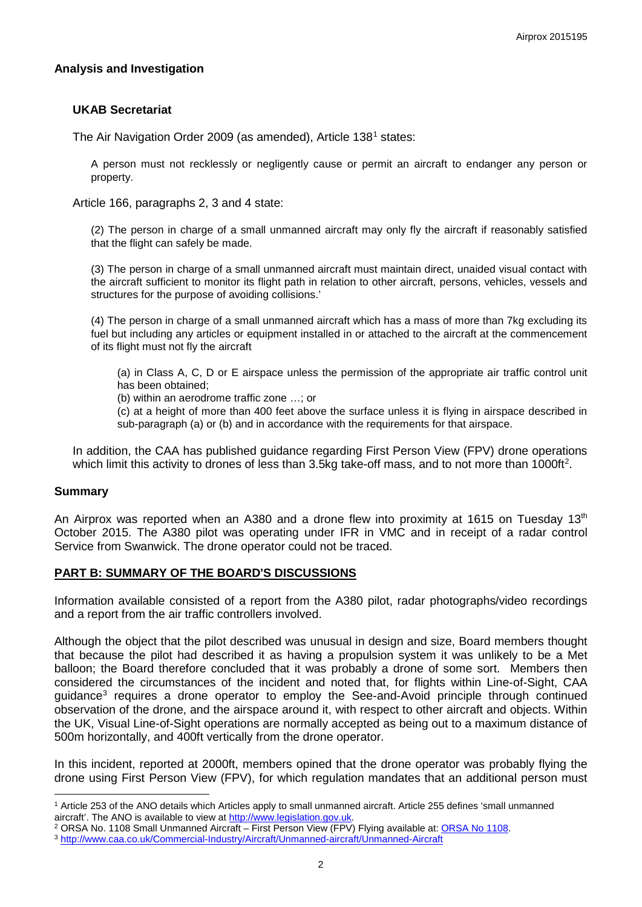### **Analysis and Investigation**

### **UKAB Secretariat**

The Air Navigation Order 2009 (as amended), Article [1](#page-1-0)38<sup>1</sup> states:

A person must not recklessly or negligently cause or permit an aircraft to endanger any person or property.

Article 166, paragraphs 2, 3 and 4 state:

(2) The person in charge of a small unmanned aircraft may only fly the aircraft if reasonably satisfied that the flight can safely be made.

(3) The person in charge of a small unmanned aircraft must maintain direct, unaided visual contact with the aircraft sufficient to monitor its flight path in relation to other aircraft, persons, vehicles, vessels and structures for the purpose of avoiding collisions.'

(4) The person in charge of a small unmanned aircraft which has a mass of more than 7kg excluding its fuel but including any articles or equipment installed in or attached to the aircraft at the commencement of its flight must not fly the aircraft

(a) in Class A, C, D or E airspace unless the permission of the appropriate air traffic control unit has been obtained;

(b) within an aerodrome traffic zone …; or

(c) at a height of more than 400 feet above the surface unless it is flying in airspace described in sub-paragraph (a) or (b) and in accordance with the requirements for that airspace.

In addition, the CAA has published guidance regarding First Person View (FPV) drone operations which limit this activity to drones of less than 3.5kg take-off mass, and to not more than 1000ft<sup>[2](#page-1-1)</sup>.

#### **Summary**

 $\overline{\phantom{a}}$ 

An Airprox was reported when an A380 and a drone flew into proximity at 1615 on Tuesday  $13<sup>th</sup>$ October 2015. The A380 pilot was operating under IFR in VMC and in receipt of a radar control Service from Swanwick. The drone operator could not be traced.

#### **PART B: SUMMARY OF THE BOARD'S DISCUSSIONS**

Information available consisted of a report from the A380 pilot, radar photographs/video recordings and a report from the air traffic controllers involved.

Although the object that the pilot described was unusual in design and size, Board members thought that because the pilot had described it as having a propulsion system it was unlikely to be a Met balloon; the Board therefore concluded that it was probably a drone of some sort. Members then considered the circumstances of the incident and noted that, for flights within Line-of-Sight, CAA guidance<sup>[3](#page-1-2)</sup> requires a drone operator to employ the See-and-Avoid principle through continued observation of the drone, and the airspace around it, with respect to other aircraft and objects. Within the UK, Visual Line-of-Sight operations are normally accepted as being out to a maximum distance of 500m horizontally, and 400ft vertically from the drone operator.

In this incident, reported at 2000ft, members opined that the drone operator was probably flying the drone using First Person View (FPV), for which regulation mandates that an additional person must

<span id="page-1-0"></span><sup>&</sup>lt;sup>1</sup> Article 253 of the ANO details which Articles apply to small unmanned aircraft. Article 255 defines 'small unmanned aircraft'. The ANO is available to view at http://www.legislation.gov.uk.

<span id="page-1-1"></span><sup>&</sup>lt;sup>2</sup> ORSA No. 1108 Small Unmanned Aircraft – First Person View (FPV) Flying available at: ORSA No 1108.<br><sup>3</sup> http://www.caa.co.uk/Commercial-Industry/Aircraft/Unmanned-aircraft/Unmanned-Aircraft

<span id="page-1-2"></span>